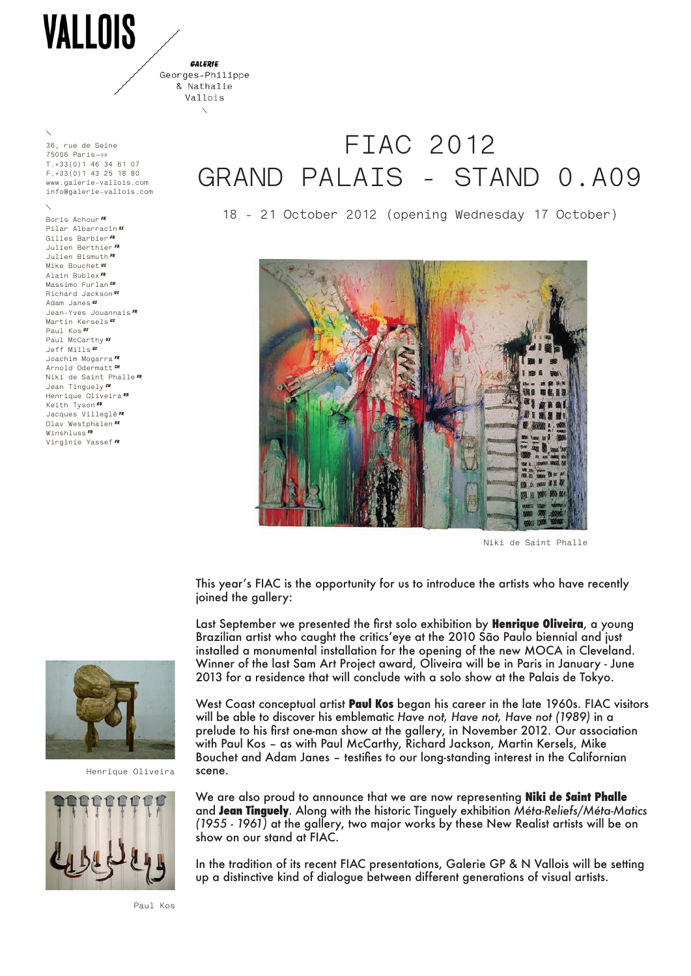VALLOIS

**GALEDIE** Georges-Philippe

> & Nathalie Vallois

**36, rue de Seine 75006 Paris—fr T.+33(0)1 46 34 61 07 F.+33(0)1 43 25 18 80 www.galerie-vallois.com info@galerie-vallois.com**

**Boris Achour Fr Pilar Albarracín es Gilles Barbier FR Julien Berthier FR Julien Bismuth FR Mike Bouchet US Alain Bublex FR Massimo Furlan Richard Jackson US Adam Janes US Jean-Yves Jouannais FR Martin Kersels US Paul Kos US Paul McCarthy Us Jeff Mills US Joachim Mogarra FR Arnold Odermatt CH Niki de Saint Phalle FR Jean Tinguely CH Henrique Oliveira BR Keith Tyson GB Jacques Villeglé FR Olav Westphalen De Winshluss FR Virginie Yassef FR**

## **FIAC 2012 GRAND PALAIS - STAND 0.A09**

**18 - 21 October 2012 (opening Wednesday 17 October)**



**Niki de Saint Phalle**

This year's FIAC is the opportunity for us to introduce the artists who have recently joined the gallery:

Last September we presented the first solo exhibition by **Henrique Oliveira**, a young Brazilian artist who caught the critics'eye at the 2010 São Paulo biennial and just installed a monumental installation for the opening of the new MOCA in Cleveland. Winner of the last Sam Art Project award, Oliveira will be in Paris in January - June 2013 for a residence that will conclude with a solo show at the Palais de Tokyo.

West Coast conceptual artist **Paul Kos** began his career in the late 1960s. FIAC visitors will be able to discover his emblematic *Have not, Have not, Have not (1989)* in a prelude to his first one-man show at the gallery, in November 2012. Our association with Paul Kos – as with Paul McCarthy, Richard Jackson, Martin Kersels, Mike Bouchet and Adam Janes – testifies to our long-standing interest in the Californian scene.

We are also proud to announce that we are now representing **Niki de Saint Phalle** and **Jean Tinguely**. Along with the historic Tinguely exhibition *Méta-Reliefs/Méta-Matics (1955 - 1961)* at the gallery, two major works by these New Realist artists will be on show on our stand at FIAC.

In the tradition of its recent FIAC presentations, Galerie GP & N Vallois will be setting up a distinctive kind of dialogue between different generations of visual artists.



**Henrique Oliveira**



**Paul Kos**